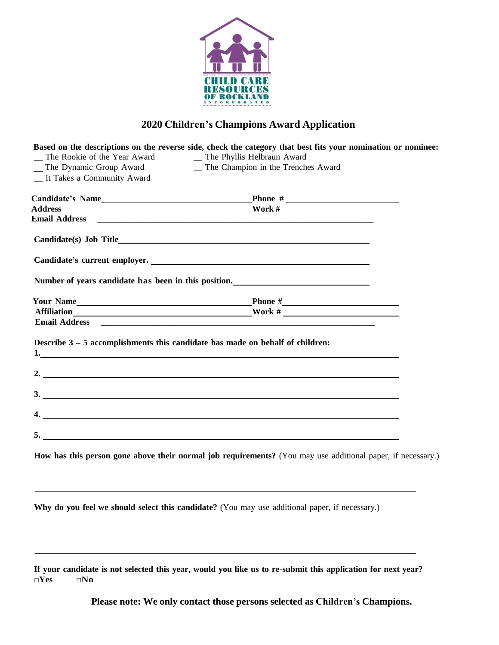

## **2020 Children's Champions Award Application**

|                                                           | Based on the descriptions on the reverse side, check the category that best fits your nomination or nominee:                                                                                               |  |
|-----------------------------------------------------------|------------------------------------------------------------------------------------------------------------------------------------------------------------------------------------------------------------|--|
| The Rookie of the Year Award                              | _ The Phyllis Helbraun Award<br>_ The Champion in the Trenches Award                                                                                                                                       |  |
| _ The Dynamic Group Award<br>_ It Takes a Community Award |                                                                                                                                                                                                            |  |
|                                                           |                                                                                                                                                                                                            |  |
|                                                           |                                                                                                                                                                                                            |  |
|                                                           | Email Address 2008 2009 2010 2020 2020 2021 2022 2023 2024 2022 2023 2024 2022 2023 2024 2022 2023 2024 2022 20                                                                                            |  |
|                                                           |                                                                                                                                                                                                            |  |
|                                                           | Candidate's current employer.                                                                                                                                                                              |  |
|                                                           | Number of years candidate has been in this position.                                                                                                                                                       |  |
|                                                           | Your Name Phone #                                                                                                                                                                                          |  |
|                                                           | Affiliation Mork #                                                                                                                                                                                         |  |
|                                                           | Email Address <b>Email Address Email Address Email Address Email Address Email Address Email Address Email Address Email Address Email Address Email Address Email Address Email Address Email Address</b> |  |
|                                                           | 2. $\overline{\phantom{a}}$                                                                                                                                                                                |  |
|                                                           | 3.                                                                                                                                                                                                         |  |
|                                                           |                                                                                                                                                                                                            |  |
|                                                           |                                                                                                                                                                                                            |  |
|                                                           | How has this person gone above their normal job requirements? (You may use additional paper, if necessary.)                                                                                                |  |
|                                                           | ,我们也不能在这里的时候,我们也不能会在这里,我们也不能会在这里,我们也不能会在这里的时候,我们也不能会在这里的时候,我们也不能会在这里的时候,我们也不能会在这                                                                                                                           |  |
|                                                           | Why do you feel we should select this candidate? (You may use additional paper, if necessary.)                                                                                                             |  |
|                                                           |                                                                                                                                                                                                            |  |

If your candidate is not selected this year, would you like us to re-submit this application for next year? **□Yes □No**

**Please note: We only contact those persons selected as Children's Champions.**